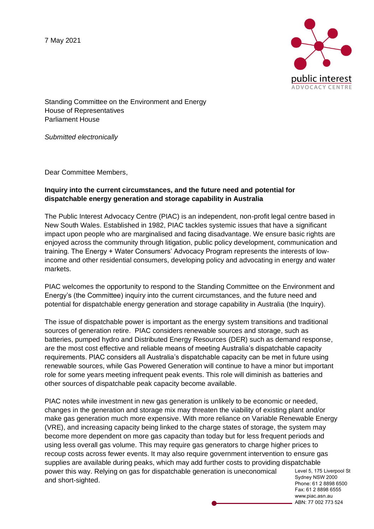7 May 2021



Standing Committee on the Environment and Energy House of Representatives Parliament House

*Submitted electronically*

Dear Committee Members,

# **Inquiry into the current circumstances, and the future need and potential for dispatchable energy generation and storage capability in Australia**

The Public Interest Advocacy Centre (PIAC) is an independent, non-profit legal centre based in New South Wales. Established in 1982, PIAC tackles systemic issues that have a significant impact upon people who are marginalised and facing disadvantage. We ensure basic rights are enjoyed across the community through litigation, public policy development, communication and training. The Energy + Water Consumers' Advocacy Program represents the interests of lowincome and other residential consumers, developing policy and advocating in energy and water markets.

PIAC welcomes the opportunity to respond to the Standing Committee on the Environment and Energy's (the Committee) inquiry into the current circumstances, and the future need and potential for dispatchable energy generation and storage capability in Australia (the Inquiry).

The issue of dispatchable power is important as the energy system transitions and traditional sources of generation retire. PIAC considers renewable sources and storage, such as batteries, pumped hydro and Distributed Energy Resources (DER) such as demand response, are the most cost effective and reliable means of meeting Australia's dispatchable capacity requirements. PIAC considers all Australia's dispatchable capacity can be met in future using renewable sources, while Gas Powered Generation will continue to have a minor but important role for some years meeting infrequent peak events. This role will diminish as batteries and other sources of dispatchable peak capacity become available.

Level 5, 175 Liverpool St Sydney NSW 2000 PIAC notes while investment in new gas generation is unlikely to be economic or needed, changes in the generation and storage mix may threaten the viability of existing plant and/or make gas generation much more expensive. With more reliance on Variable Renewable Energy (VRE), and increasing capacity being linked to the charge states of storage, the system may become more dependent on more gas capacity than today but for less frequent periods and using less overall gas volume. This may require gas generators to charge higher prices to recoup costs across fewer events. It may also require government intervention to ensure gas supplies are available during peaks, which may add further costs to providing dispatchable power this way. Relying on gas for dispatchable generation is uneconomical and short-sighted.

Phone: 61 2 8898 6500 Fax: 61 2 8898 6555 www.piac.asn.au ABN: 77 002 773 524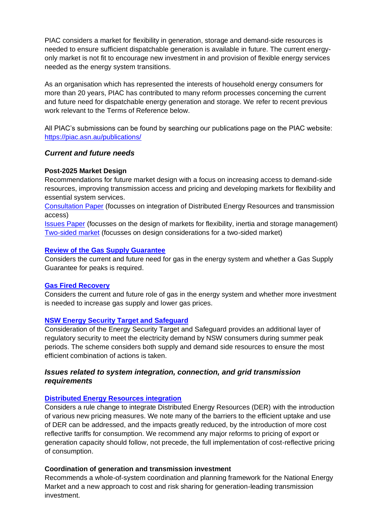PIAC considers a market for flexibility in generation, storage and demand-side resources is needed to ensure sufficient dispatchable generation is available in future. The current energyonly market is not fit to encourage new investment in and provision of flexible energy services needed as the energy system transitions.

As an organisation which has represented the interests of household energy consumers for more than 20 years, PIAC has contributed to many reform processes concerning the current and future need for dispatchable energy generation and storage. We refer to recent previous work relevant to the Terms of Reference below.

All PIAC's submissions can be found by searching our publications page on the PIAC website: <https://piac.asn.au/publications/>

## *Current and future needs*

## **Post-2025 Market Design**

Recommendations for future market design with a focus on increasing access to demand-side resources, improving transmission access and pricing and developing markets for flexibility and essential system services.

[Consultation Paper](https://piac.asn.au/wp-content/uploads/2020/10/20.10.30-PIAC-sub-to-P2025-Market-Design-Consultation-Paper-updated.pdf) (focusses on integration of Distributed Energy Resources and transmission access)

[Issues Paper](https://piac.asn.au/wp-content/uploads/2019/10/19.10.11-submission-post-2025-market-design.pdf) (focusses on the design of markets for flexibility, inertia and storage management) [Two-sided market](https://piac.asn.au/wp-content/uploads/2020/05/20.05.20-PIAC-sub-to-ESB-on-moving-to-a-two-sided-market.pdf) (focusses on design considerations for a two-sided market)

## **[Review of the Gas Supply Guarantee](https://piac.asn.au/wp-content/uploads/2021/04/21.04.15-PIAC-subsmission-to-Gas-Supply-Guarantee-Review.pdf)**

Considers the current and future need for gas in the energy system and whether a Gas Supply Guarantee for peaks is required.

## **[Gas Fired Recovery](https://piac.asn.au/wp-content/uploads/2021/03/21.02.26-PIAC-sub-to-Gas-Fired-Recovery.pdf)**

Considers the current and future role of gas in the energy system and whether more investment is needed to increase gas supply and lower gas prices.

## **[NSW Energy Security Target and Safeguard](https://piac.asn.au/wp-content/uploads/2020/06/20.06.26-PIAC-sub-to-NSW-Energy-Security-Target-and-Safeguard.pdf)**

Consideration of the Energy Security Target and Safeguard provides an additional layer of regulatory security to meet the electricity demand by NSW consumers during summer peak periods. The scheme considers both supply and demand side resources to ensure the most efficient combination of actions is taken.

# *Issues related to system integration, connection, and grid transmission requirements*

# **[Distributed Energy Resources integration](https://piac.asn.au/wp-content/uploads/2020/09/20.09.17-PIAC-letter-to-DER-access-and-pricing-rule-change.pdf)**

Considers a rule change to integrate Distributed Energy Resources (DER) with the introduction of various new pricing measures. We note many of the barriers to the efficient uptake and use of DER can be addressed, and the impacts greatly reduced, by the introduction of more cost reflective tariffs for consumption. We recommend any major reforms to pricing of export or generation capacity should follow, not precede, the full implementation of cost-reflective pricing of consumption.

## **Coordination of generation and transmission investment**

Recommends a whole-of-system coordination and planning framework for the National Energy Market and a new approach to cost and risk sharing for generation-leading transmission investment.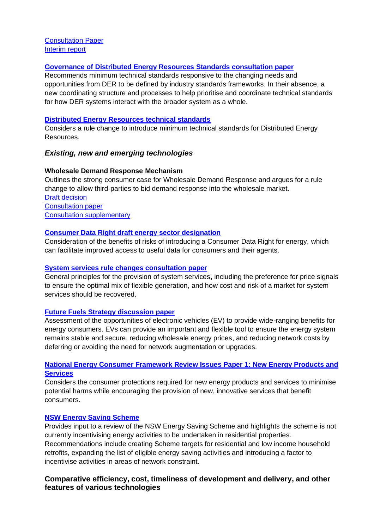[Consultation Paper](https://piac.asn.au/wp-content/uploads/2019/04/19.04.30-PIAC-sub-to-COGATI-consultation-paper.pdf) [Interim report](https://piac.asn.au/wp-content/uploads/2020/10/20.10.20-PIAC-sub-to-COGATI-interim-report-1.pdf)

### **[Governance of Distributed Energy Resources Standards consultation paper](https://piac.asn.au/wp-content/uploads/2020/07/20.07.28-PIAC-to-ESB-Governance-of-DER-standards.pdf)**

Recommends minimum technical standards responsive to the changing needs and opportunities from DER to be defined by industry standards frameworks. In their absence, a new coordinating structure and processes to help prioritise and coordinate technical standards for how DER systems interact with the broader system as a whole.

#### **[Distributed Energy Resources technical standards](https://piac.asn.au/wp-content/uploads/2020/07/20.07.23-PIAC-sub-to-DER-tech-stds-rule-change.pdf)**

Considers a rule change to introduce minimum technical standards for Distributed Energy Resources.

## *Existing, new and emerging technologies*

## **Wholesale Demand Response Mechanism**

Outlines the strong consumer case for Wholesale Demand Response and argues for a rule change to allow third-parties to bid demand response into the wholesale market. [Draft decision](:%20https:/piac.asn.au/wp-content/uploads/2019/10/19.10.30-PIAC-submission-to-AEMC-WDR-draft-decision-Final.pdf) [Consultation paper](https://piac.asn.au/wp-content/uploads/2019/01/19.01.10_PIAC-submission-to-AEMC-wholesale-demand-response-mechansim-rule-change-consultation-paper.pdf) [Consultation supplementary](https://piac.asn.au/wp-content/uploads/2019/01/Public-Interest-Advocacy-Centre-supplementary-submission.pdf)

## **[Consumer Data Right draft energy sector designation](https://piac.asn.au/wp-content/uploads/2020/05/20.05.29-PIAC-sub-to-CDR-for-energy-designation.pdf)**

Consideration of the benefits of risks of introducing a Consumer Data Right for energy, which can facilitate improved access to useful data for consumers and their agents.

#### **[System services rule changes consultation paper](https://piac.asn.au/wp-content/uploads/2020/08/20.08.20-PIAC-sub-to-system-services-rule-changes.pdf)**

General principles for the provision of system services, including the preference for price signals to ensure the optimal mix of flexible generation, and how cost and risk of a market for system services should be recovered.

## **[Future Fuels Strategy discussion paper](https://piac.asn.au/wp-content/uploads/2021/04/21.04.06-PIAC-sub-to-Future-Fuels-Strategy.pdf)**

Assessment of the opportunities of electronic vehicles (EV) to provide wide-ranging benefits for energy consumers. EVs can provide an important and flexible tool to ensure the energy system remains stable and secure, reducing wholesale energy prices, and reducing network costs by deferring or avoiding the need for network augmentation or upgrades.

## **[National Energy Consumer Framework Review Issues Paper 1: New Energy Products and](https://piac.asn.au/wp-content/uploads/2020/02/20.02.21-PIAC-sub-to-NECF-consumer-protections-review-final.pdf)  [Services](https://piac.asn.au/wp-content/uploads/2020/02/20.02.21-PIAC-sub-to-NECF-consumer-protections-review-final.pdf)**

Considers the consumer protections required for new energy products and services to minimise potential harms while encouraging the provision of new, innovative services that benefit consumers.

## **[NSW Energy Saving Scheme](https://piac.asn.au/wp-content/uploads/2020/05/20.05.13-PIAC-submission-to-the-Draft-NSW-Energy-Savings-Scheme-Review-Report-FINAL-1.pdf)**

Provides input to a review of the NSW Energy Saving Scheme and highlights the scheme is not currently incentivising energy activities to be undertaken in residential properties. Recommendations include creating Scheme targets for residential and low income household retrofits, expanding the list of eligible energy saving activities and introducing a factor to incentivise activities in areas of network constraint.

# **Comparative efficiency, cost, timeliness of development and delivery, and other features of various technologies**